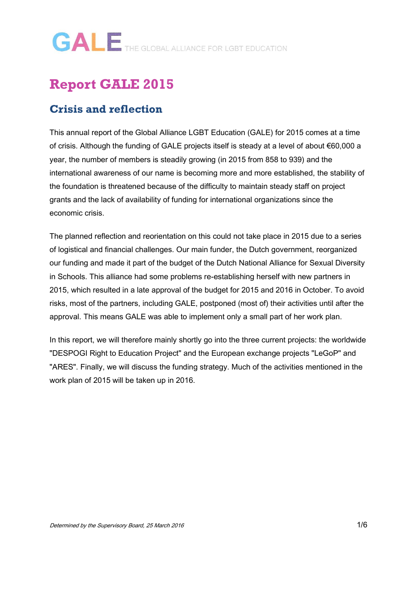### **Report GALE 2015**

#### **Crisis and reflection**

This annual report of the Global Alliance LGBT Education (GALE) for 2015 comes at a time of crisis. Although the funding of GALE projects itself is steady at a level of about €60,000 a year, the number of members is steadily growing (in 2015 from 858 to 939) and the international awareness of our name is becoming more and more established, the stability of the foundation is threatened because of the difficulty to maintain steady staff on project grants and the lack of availability of funding for international organizations since the economic crisis.

The planned reflection and reorientation on this could not take place in 2015 due to a series of logistical and financial challenges. Our main funder, the Dutch government, reorganized our funding and made it part of the budget of the Dutch National Alliance for Sexual Diversity in Schools. This alliance had some problems re-establishing herself with new partners in 2015, which resulted in a late approval of the budget for 2015 and 2016 in October. To avoid risks, most of the partners, including GALE, postponed (most of) their activities until after the approval. This means GALE was able to implement only a small part of her work plan.

In this report, we will therefore mainly shortly go into the three current projects: the worldwide "DESPOGI Right to Education Project" and the European exchange projects "LeGoP" and "ARES". Finally, we will discuss the funding strategy. Much of the activities mentioned in the work plan of 2015 will be taken up in 2016.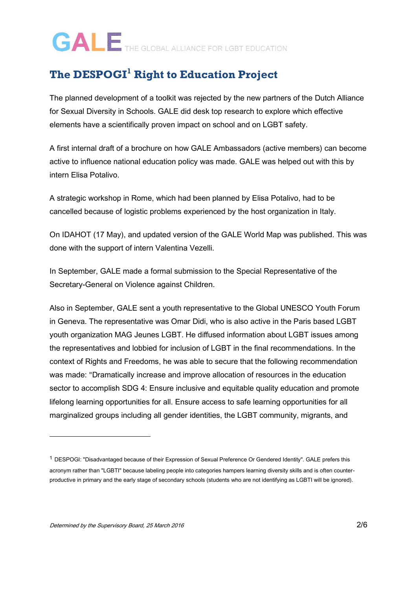#### **The DESPOGI<sup>1</sup> Right to Education Project**

The planned development of a toolkit was rejected by the new partners of the Dutch Alliance for Sexual Diversity in Schools. GALE did desk top research to explore which effective elements have a scientifically proven impact on school and on LGBT safety.

A first internal draft of a brochure on how GALE Ambassadors (active members) can become active to influence national education policy was made. GALE was helped out with this by intern Elisa Potalivo.

A strategic workshop in Rome, which had been planned by Elisa Potalivo, had to be cancelled because of logistic problems experienced by the host organization in Italy.

On IDAHOT (17 May), and updated version of the GALE World Map was published. This was done with the support of intern Valentina Vezelli.

In September, GALE made a formal submission to the Special Representative of the Secretary-General on Violence against Children.

Also in September, GALE sent a youth representative to the Global UNESCO Youth Forum in Geneva. The representative was Omar Didi, who is also active in the Paris based LGBT youth organization MAG Jeunes LGBT. He diffused information about LGBT issues among the representatives and lobbied for inclusion of LGBT in the final recommendations. In the context of Rights and Freedoms, he was able to secure that the following recommendation was made: "Dramatically increase and improve allocation of resources in the education sector to accomplish SDG 4: Ensure inclusive and equitable quality education and promote lifelong learning opportunities for all. Ensure access to safe learning opportunities for all marginalized groups including all gender identities, the LGBT community, migrants, and

-

<sup>1</sup> DESPOGI: "Disadvantaged because of their Expression of Sexual Preference Or Gendered Identity". GALE prefers this acronym rather than "LGBTI" because labeling people into categories hampers learning diversity skills and is often counterproductive in primary and the early stage of secondary schools (students who are not identifying as LGBTI will be ignored).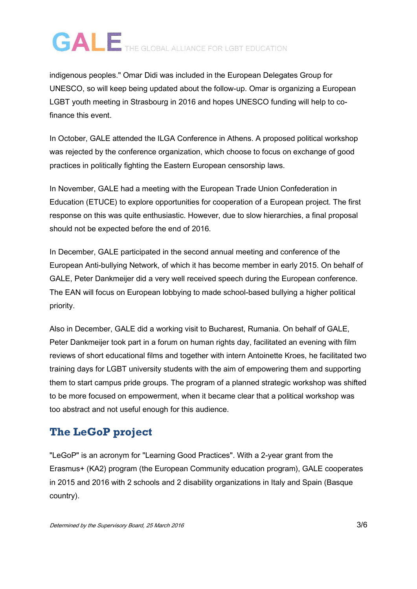indigenous peoples." Omar Didi was included in the European Delegates Group for UNESCO, so will keep being updated about the follow-up. Omar is organizing a European LGBT youth meeting in Strasbourg in 2016 and hopes UNESCO funding will help to cofinance this event.

In October, GALE attended the ILGA Conference in Athens. A proposed political workshop was rejected by the conference organization, which choose to focus on exchange of good practices in politically fighting the Eastern European censorship laws.

In November, GALE had a meeting with the European Trade Union Confederation in Education (ETUCE) to explore opportunities for cooperation of a European project. The first response on this was quite enthusiastic. However, due to slow hierarchies, a final proposal should not be expected before the end of 2016.

In December, GALE participated in the second annual meeting and conference of the European Anti-bullying Network, of which it has become member in early 2015. On behalf of GALE, Peter Dankmeijer did a very well received speech during the European conference. The EAN will focus on European lobbying to made school-based bullying a higher political priority.

Also in December, GALE did a working visit to Bucharest, Rumania. On behalf of GALE, Peter Dankmeijer took part in a forum on human rights day, facilitated an evening with film reviews of short educational films and together with intern Antoinette Kroes, he facilitated two training days for LGBT university students with the aim of empowering them and supporting them to start campus pride groups. The program of a planned strategic workshop was shifted to be more focused on empowerment, when it became clear that a political workshop was too abstract and not useful enough for this audience.

#### **The LeGoP project**

"LeGoP" is an acronym for "Learning Good Practices". With a 2-year grant from the Erasmus+ (KA2) program (the European Community education program), GALE cooperates in 2015 and 2016 with 2 schools and 2 disability organizations in Italy and Spain (Basque country).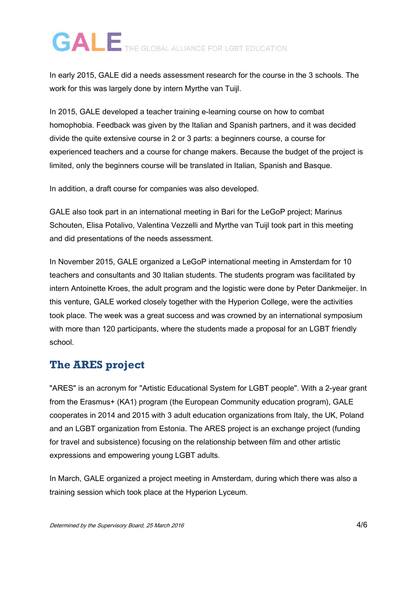In early 2015, GALE did a needs assessment research for the course in the 3 schools. The work for this was largely done by intern Myrthe van Tuijl.

In 2015, GALE developed a teacher training e-learning course on how to combat homophobia. Feedback was given by the Italian and Spanish partners, and it was decided divide the quite extensive course in 2 or 3 parts: a beginners course, a course for experienced teachers and a course for change makers. Because the budget of the project is limited, only the beginners course will be translated in Italian, Spanish and Basque.

In addition, a draft course for companies was also developed.

GALE also took part in an international meeting in Bari for the LeGoP project; Marinus Schouten, Elisa Potalivo, Valentina Vezzelli and Myrthe van Tuijl took part in this meeting and did presentations of the needs assessment.

In November 2015, GALE organized a LeGoP international meeting in Amsterdam for 10 teachers and consultants and 30 Italian students. The students program was facilitated by intern Antoinette Kroes, the adult program and the logistic were done by Peter Dankmeijer. In this venture, GALE worked closely together with the Hyperion College, were the activities took place. The week was a great success and was crowned by an international symposium with more than 120 participants, where the students made a proposal for an LGBT friendly school.

#### **The ARES project**

"ARES" is an acronym for "Artistic Educational System for LGBT people". With a 2-year grant from the Erasmus+ (KA1) program (the European Community education program), GALE cooperates in 2014 and 2015 with 3 adult education organizations from Italy, the UK, Poland and an LGBT organization from Estonia. The ARES project is an exchange project (funding for travel and subsistence) focusing on the relationship between film and other artistic expressions and empowering young LGBT adults.

In March, GALE organized a project meeting in Amsterdam, during which there was also a training session which took place at the Hyperion Lyceum.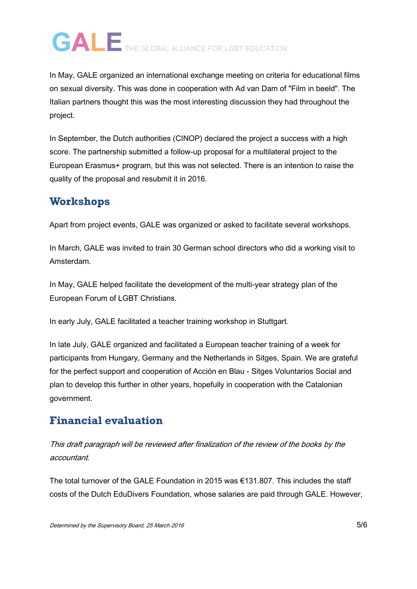In May, GALE organized an international exchange meeting on criteria for educational films on sexual diversity. This was done in cooperation with Ad van Dam of "Film in beeld". The Italian partners thought this was the most interesting discussion they had throughout the project.

In September, the Dutch authorities (CINOP) declared the project a success with a high score. The partnership submitted a follow-up proposal for a multilateral project to the European Erasmus+ program, but this was not selected. There is an intention to raise the quality of the proposal and resubmit it in 2016.

#### **Workshops**

Apart from project events, GALE was organized or asked to facilitate several workshops.

In March, GALE was invited to train 30 German school directors who did a working visit to Amsterdam.

In May, GALE helped facilitate the development of the multi-year strategy plan of the European Forum of LGBT Christians.

In early July, GALE facilitated a teacher training workshop in Stuttgart.

In late July, GALE organized and facilitated a European teacher training of a week for participants from Hungary, Germany and the Netherlands in Sitges, Spain. We are grateful for the perfect support and cooperation of Acción en Blau - Sitges Voluntarios Social and plan to develop this further in other years, hopefully in cooperation with the Catalonian government.

#### **Financial evaluation**

This draft paragraph will be reviewed after finalization of the review of the books by the accountant.

The total turnover of the GALE Foundation in 2015 was  $\epsilon$ 131.807. This includes the staff costs of the Dutch EduDivers Foundation, whose salaries are paid through GALE. However,